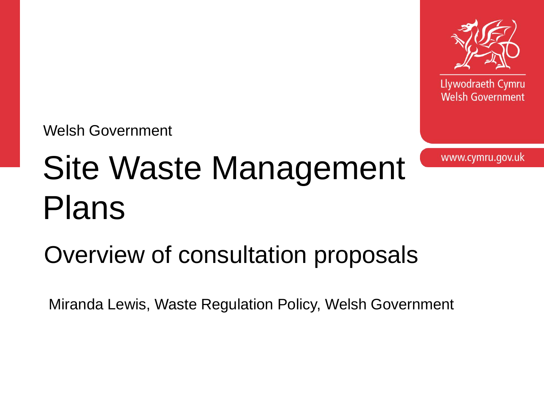

Llywodraeth Cymru **Welsh Government** 

Welsh Government

## Site Waste Management Plans

Overview of consultation proposals

Miranda Lewis, Waste Regulation Policy, Welsh Government

www.cymru.gov.uk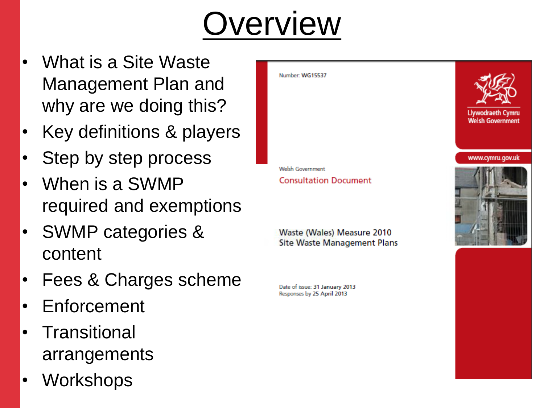## **Overview**

- What is a Site Waste Management Plan and why are we doing this?
- Key definitions & players
- Step by step process
- When is a SWMP required and exemptions
- SWMP categories & content
- Fees & Charges scheme
- **Enforcement**
- **Transitional** arrangements
- Workshops



Waste (Wales) Measure 2010 **Site Waste Management Plans** 

Date of issue: 31 January 2013 Responses by 25 April 2013



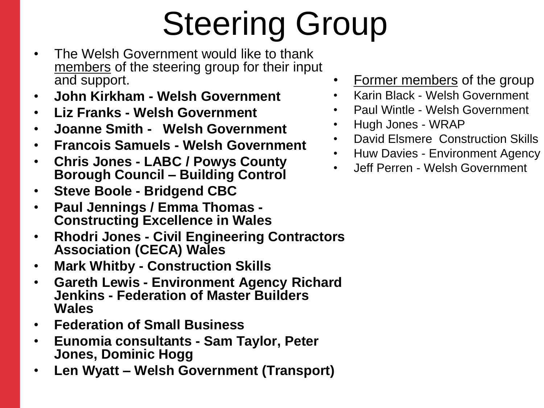# Steering Group

- The Welsh Government would like to thank members of the steering group for their input and support.
- **John Kirkham - Welsh Government**
- **Liz Franks - Welsh Government**
- **Joanne Smith Welsh Government**
- **Francois Samuels - Welsh Government**
- **Chris Jones - LABC / Powys County Borough Council – Building Control**
- **Steve Boole - Bridgend CBC**
- **Paul Jennings / Emma Thomas - Constructing Excellence in Wales**
- **Rhodri Jones - Civil Engineering Contractors Association (CECA) Wales**
- **Mark Whitby - Construction Skills**
- **Gareth Lewis - Environment Agency Richard Jenkins - Federation of Master Builders Wales**
- **Federation of Small Business**
- **Eunomia consultants - Sam Taylor, Peter Jones, Dominic Hogg**
- **Len Wyatt – Welsh Government (Transport)**
- Former members of the group
- Karin Black Welsh Government
- Paul Wintle Welsh Government
- Hugh Jones WRAP
- David Elsmere Construction Skills
- Huw Davies Environment Agency
- Jeff Perren Welsh Government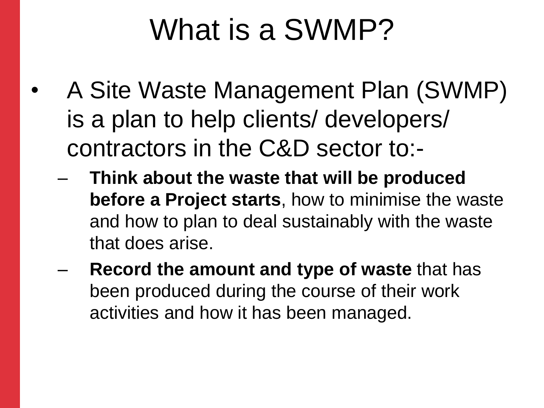#### What is a SWMP?

- A Site Waste Management Plan (SWMP) is a plan to help clients/ developers/ contractors in the C&D sector to:-
	- **Think about the waste that will be produced before a Project starts**, how to minimise the waste and how to plan to deal sustainably with the waste that does arise.
	- **Record the amount and type of waste** that has been produced during the course of their work activities and how it has been managed.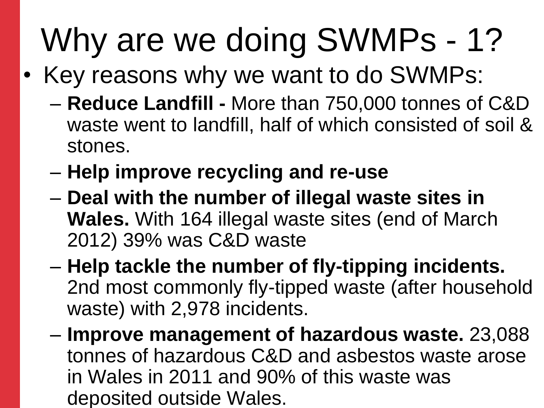## Why are we doing SWMPs - 1?

- Key reasons why we want to do SWMPs:
	- **Reduce Landfill -** More than 750,000 tonnes of C&D waste went to landfill, half of which consisted of soil & stones.
	- **Help improve recycling and re-use**
	- **Deal with the number of illegal waste sites in Wales.** With 164 illegal waste sites (end of March 2012) 39% was C&D waste
	- **Help tackle the number of fly-tipping incidents.** 2nd most commonly fly-tipped waste (after household waste) with 2,978 incidents.
	- **Improve management of hazardous waste.** 23,088 tonnes of hazardous C&D and asbestos waste arose in Wales in 2011 and 90% of this waste was deposited outside Wales.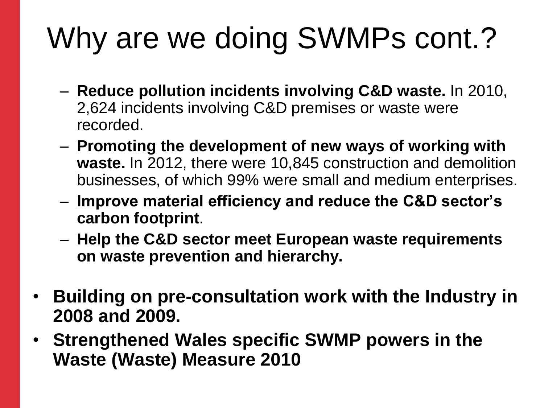### Why are we doing SWMPs cont.?

- **Reduce pollution incidents involving C&D waste.** In 2010, 2,624 incidents involving C&D premises or waste were recorded.
- **Promoting the development of new ways of working with waste.** In 2012, there were 10,845 construction and demolition businesses, of which 99% were small and medium enterprises.
- **Improve material efficiency and reduce the C&D sector's carbon footprint**.
- **Help the C&D sector meet European waste requirements on waste prevention and hierarchy.**
- **Building on pre-consultation work with the Industry in 2008 and 2009.**
- **Strengthened Wales specific SWMP powers in the Waste (Waste) Measure 2010**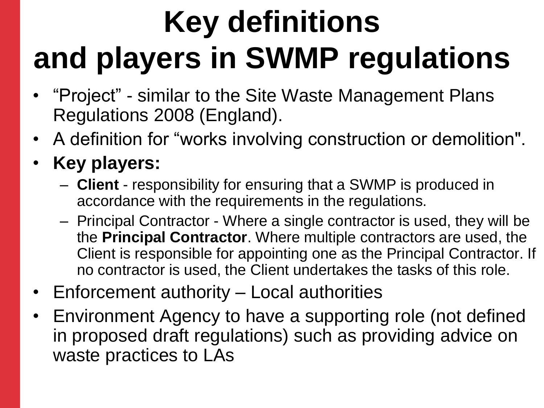## **Key definitions and players in SWMP regulations**

- "Project" similar to the Site Waste Management Plans Regulations 2008 (England).
- A definition for "works involving construction or demolition".
- **Key players:**
	- **Client** responsibility for ensuring that a SWMP is produced in accordance with the requirements in the regulations.
	- Principal Contractor Where a single contractor is used, they will be the **Principal Contractor**. Where multiple contractors are used, the Client is responsible for appointing one as the Principal Contractor. If no contractor is used, the Client undertakes the tasks of this role.
- Enforcement authority Local authorities
- Environment Agency to have a supporting role (not defined in proposed draft regulations) such as providing advice on waste practices to LAs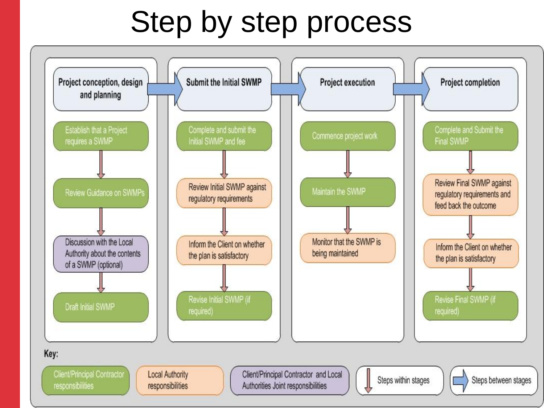#### Step by step process

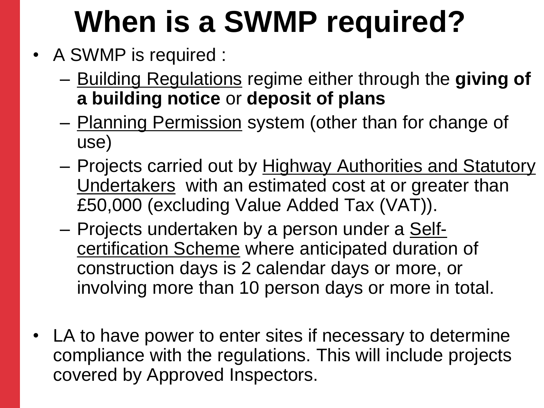### **When is a SWMP required?**

- A SWMP is required :
	- Building Regulations regime either through the **giving of a building notice** or **deposit of plans**
	- Planning Permission system (other than for change of use)
	- Projects carried out by Highway Authorities and Statutory Undertakers with an estimated cost at or greater than £50,000 (excluding Value Added Tax (VAT)).
	- Projects undertaken by a person under a Selfcertification Scheme where anticipated duration of construction days is 2 calendar days or more, or involving more than 10 person days or more in total.
- LA to have power to enter sites if necessary to determine compliance with the regulations. This will include projects covered by Approved Inspectors.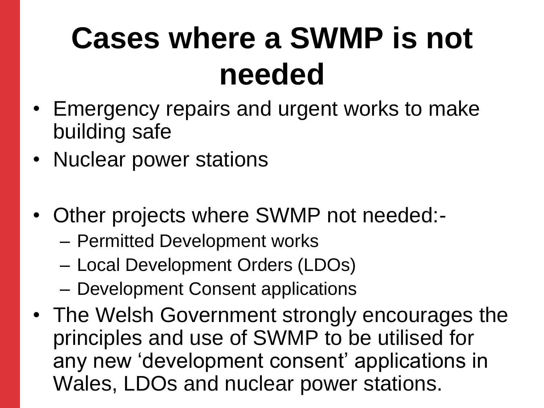### **Cases where a SWMP is not needed**

- Emergency repairs and urgent works to make building safe
- Nuclear power stations
- Other projects where SWMP not needed:-
	- Permitted Development works
	- Local Development Orders (LDOs)
	- Development Consent applications
- The Welsh Government strongly encourages the principles and use of SWMP to be utilised for any new "development consent" applications in Wales, LDOs and nuclear power stations.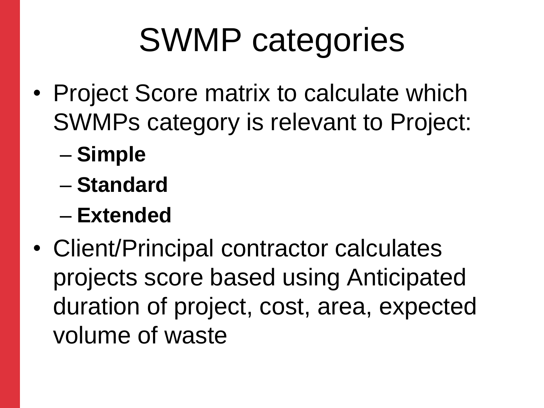## SWMP categories

- Project Score matrix to calculate which SWMPs category is relevant to Project:
	- **Simple**
	- **Standard**
	- **Extended**
- Client/Principal contractor calculates projects score based using Anticipated duration of project, cost, area, expected volume of waste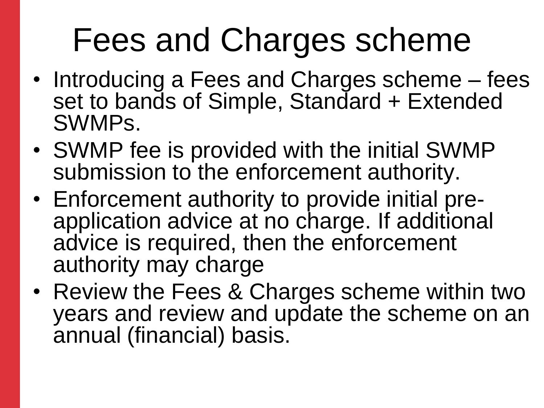## Fees and Charges scheme

- Introducing a Fees and Charges scheme fees set to bands of Simple, Standard + Extended SWMPs.
- SWMP fee is provided with the initial SWMP submission to the enforcement authority.
- Enforcement authority to provide initial preapplication advice at no charge. If additional advice is required, then the enforcement authority may charge
- Review the Fees & Charges scheme within two years and review and update the scheme on an annual (financial) basis.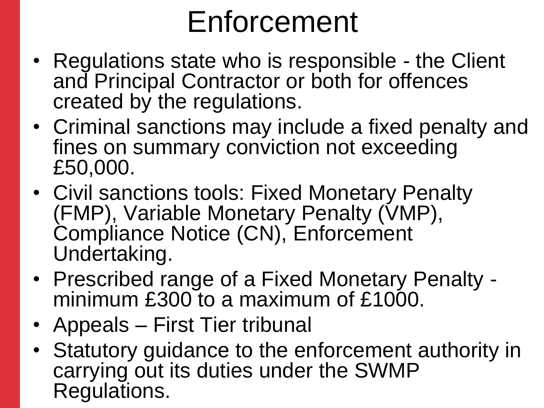#### Enforcement

- Regulations state who is responsible the Client and Principal Contractor or both for offences created by the regulations.
- Criminal sanctions may include a fixed penalty and fines on summary conviction not exceeding £50,000.
- Civil sanctions tools: Fixed Monetary Penalty (FMP), Variable Monetary Penalty (VMP), Compliance Notice (CN), Enforcement Undertaking.
- Prescribed range of a Fixed Monetary Penalty minimum £300 to a maximum of £1000.
- Appeals First Tier tribunal
- Statutory guidance to the enforcement authority in carrying out its duties under the SWMP Regulations.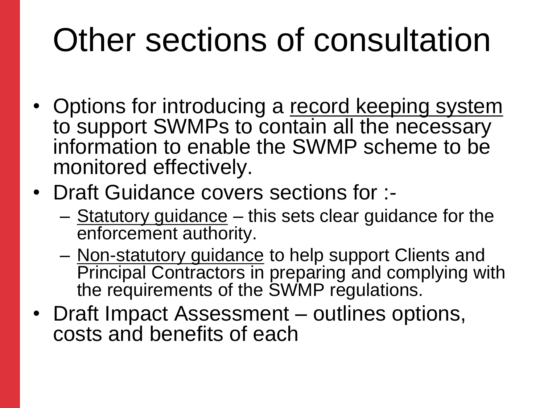## Other sections of consultation

- Options for introducing a record keeping system to support SWMPs to contain all the necessary information to enable the SWMP scheme to be monitored effectively.
- Draft Guidance covers sections for :-
	- Statutory guidance this sets clear guidance for the enforcement authority.
	- Non-statutory guidance to help support Clients and Principal Contractors in preparing and complying with the requirements of the SWMP regulations.
- Draft Impact Assessment outlines options, costs and benefits of each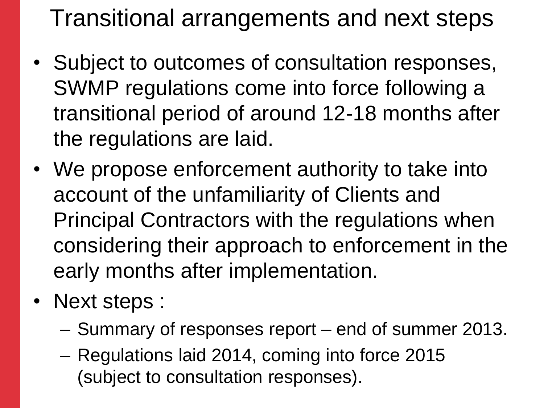Transitional arrangements and next steps

- Subject to outcomes of consultation responses, SWMP regulations come into force following a transitional period of around 12-18 months after the regulations are laid.
- We propose enforcement authority to take into account of the unfamiliarity of Clients and Principal Contractors with the regulations when considering their approach to enforcement in the early months after implementation.
- Next steps :
	- Summary of responses report end of summer 2013.
	- Regulations laid 2014, coming into force 2015 (subject to consultation responses).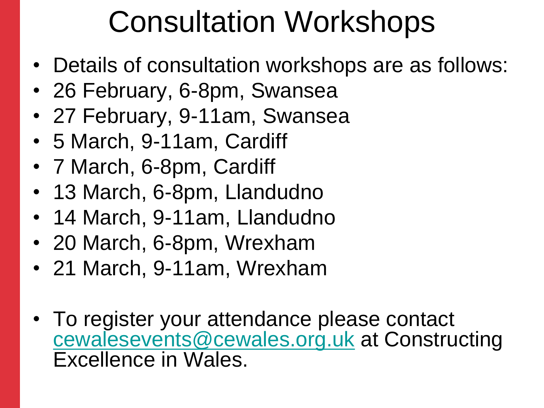#### Consultation Workshops

- Details of consultation workshops are as follows:
- 26 February, 6-8pm, Swansea
- 27 February, 9-11am, Swansea
- 5 March, 9-11am, Cardiff
- 7 March, 6-8pm, Cardiff
- 13 March, 6-8pm, Llandudno
- 14 March, 9-11am, Llandudno
- 20 March, 6-8pm, Wrexham
- 21 March, 9-11am, Wrexham
- To register your attendance please contact [cewalesevents@cewales.org.uk](mailto:cewalesevents@cewales.org.uk) at Constructing Excellence in Wales.